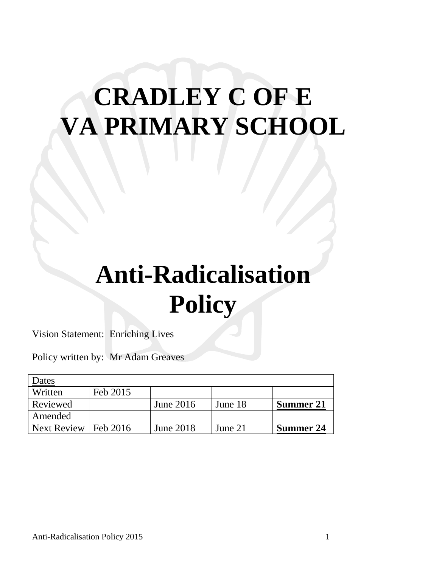# **CRADLEY C OF E VA PRIMARY SCHOOL**

## **Anti-Radicalisation Policy**

Vision Statement: Enriching Lives

Policy written by: Mr Adam Greaves

| Dates              |            |                  |         |                  |
|--------------------|------------|------------------|---------|------------------|
| Written            | Feb 2015   |                  |         |                  |
| Reviewed           |            | June $2016$      | June 18 | Summer 21        |
| Amended            |            |                  |         |                  |
| <b>Next Review</b> | 1 Feb 2016 | <b>June 2018</b> | June 21 | <b>Summer 24</b> |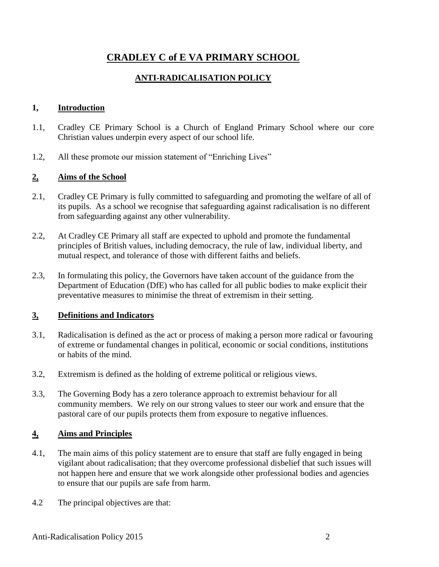## **CRADLEY C of E VA PRIMARY SCHOOL**

#### **ANTI-RADICALISATION POLICY**

#### **1, Introduction**

- 1.1, Cradley CE Primary School is a Church of England Primary School where our core Christian values underpin every aspect of our school life.
- 1.2, All these promote our mission statement of "Enriching Lives"

#### **2, Aims of the School**

- 2.1, Cradley CE Primary is fully committed to safeguarding and promoting the welfare of all of its pupils. As a school we recognise that safeguarding against radicalisation is no different from safeguarding against any other vulnerability.
- 2.2, At Cradley CE Primary all staff are expected to uphold and promote the fundamental principles of British values, including democracy, the rule of law, individual liberty, and mutual respect, and tolerance of those with different faiths and beliefs.
- 2.3, In formulating this policy, the Governors have taken account of the guidance from the Department of Education (DfE) who has called for all public bodies to make explicit their preventative measures to minimise the threat of extremism in their setting.

#### **3, Definitions and Indicators**

- 3.1, Radicalisation is defined as the act or process of making a person more radical or favouring of extreme or fundamental changes in political, economic or social conditions, institutions or habits of the mind.
- 3.2, Extremism is defined as the holding of extreme political or religious views.
- 3.3, The Governing Body has a zero tolerance approach to extremist behaviour for all community members. We rely on our strong values to steer our work and ensure that the pastoral care of our pupils protects them from exposure to negative influences.

#### **4, Aims and Principles**

- 4.1, The main aims of this policy statement are to ensure that staff are fully engaged in being vigilant about radicalisation; that they overcome professional disbelief that such issues will not happen here and ensure that we work alongside other professional bodies and agencies to ensure that our pupils are safe from harm.
- 4.2 The principal objectives are that: